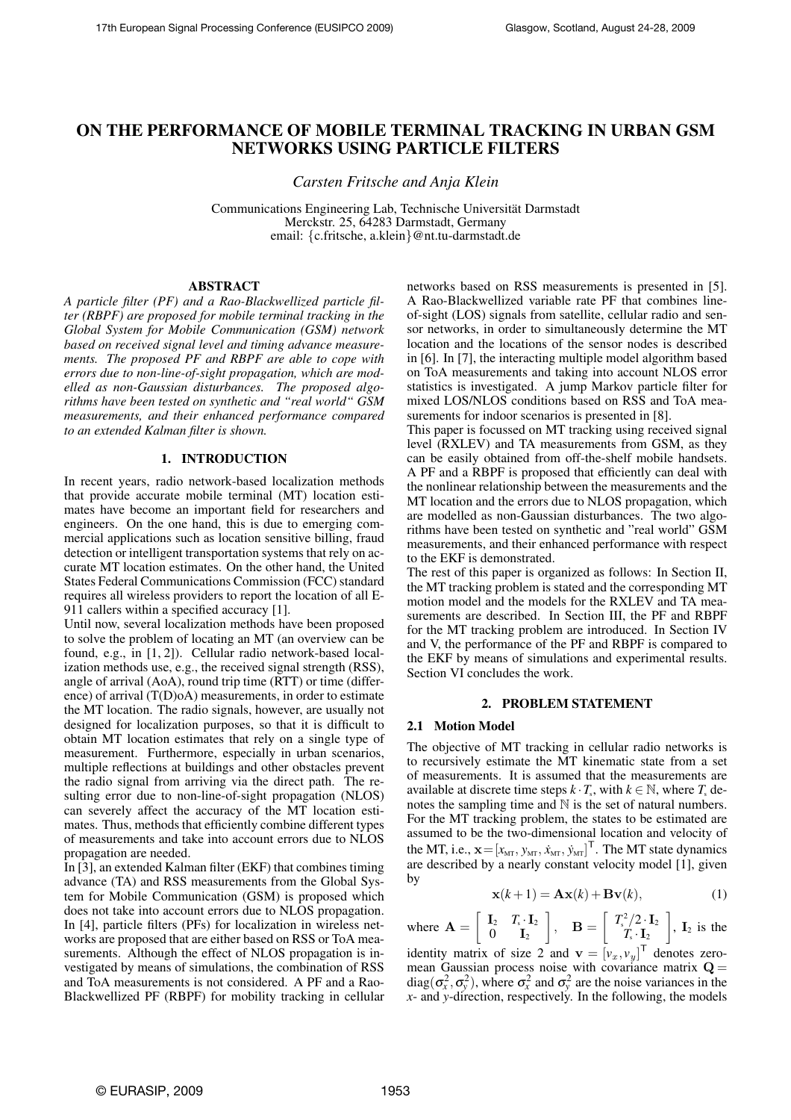# **ON THE PERFORMANCE OF MOBILE TERMINAL TRACKING IN URBAN GSM NETWORKS USING PARTICLE FILTERS**

*Carsten Fritsche and Anja Klein*

Communications Engineering Lab, Technische Universität Darmstadt Merckstr. 25, 64283 Darmstadt, Germany email: {c.fritsche, a.klein}@nt.tu-darmstadt.de

### **ABSTRACT**

*A particle filter (PF) and a Rao-Blackwellized particle filter (RBPF) are proposed for mobile terminal tracking in the Global System for Mobile Communication (GSM) network based on received signal level and timing advance measurements. The proposed PF and RBPF are able to cope with errors due to non-line-of-sight propagation, which are modelled as non-Gaussian disturbances. The proposed algorithms have been tested on synthetic and "real world" GSM measurements, and their enhanced performance compared to an extended Kalman filter is shown.*

# **1. INTRODUCTION**

In recent years, radio network-based localization methods that provide accurate mobile terminal (MT) location estimates have become an important field for researchers and engineers. On the one hand, this is due to emerging commercial applications such as location sensitive billing, fraud detection or intelligent transportation systems that rely on accurate MT location estimates. On the other hand, the United States Federal Communications Commission (FCC) standard requires all wireless providers to report the location of all E-911 callers within a specified accuracy [1].

Until now, several localization methods have been proposed to solve the problem of locating an MT (an overview can be found, e.g., in [1, 2]). Cellular radio network-based localization methods use, e.g., the received signal strength (RSS), angle of arrival (AoA), round trip time (RTT) or time (difference) of arrival (T(D)oA) measurements, in order to estimate the MT location. The radio signals, however, are usually not designed for localization purposes, so that it is difficult to obtain MT location estimates that rely on a single type of measurement. Furthermore, especially in urban scenarios, multiple reflections at buildings and other obstacles prevent the radio signal from arriving via the direct path. The resulting error due to non-line-of-sight propagation (NLOS) can severely affect the accuracy of the MT location estimates. Thus, methods that efficiently combine different types of measurements and take into account errors due to NLOS propagation are needed.

In [3], an extended Kalman filter (EKF) that combines timing advance (TA) and RSS measurements from the Global System for Mobile Communication (GSM) is proposed which does not take into account errors due to NLOS propagation. In [4], particle filters (PFs) for localization in wireless networks are proposed that are either based on RSS or ToA measurements. Although the effect of NLOS propagation is investigated by means of simulations, the combination of RSS and ToA measurements is not considered. A PF and a Rao-Blackwellized PF (RBPF) for mobility tracking in cellular networks based on RSS measurements is presented in [5]. A Rao-Blackwellized variable rate PF that combines lineof-sight (LOS) signals from satellite, cellular radio and sensor networks, in order to simultaneously determine the MT location and the locations of the sensor nodes is described in [6]. In [7], the interacting multiple model algorithm based on ToA measurements and taking into account NLOS error statistics is investigated. A jump Markov particle filter for mixed LOS/NLOS conditions based on RSS and ToA measurements for indoor scenarios is presented in [8].

This paper is focussed on MT tracking using received signal level (RXLEV) and TA measurements from GSM, as they can be easily obtained from off-the-shelf mobile handsets. A PF and a RBPF is proposed that efficiently can deal with the nonlinear relationship between the measurements and the MT location and the errors due to NLOS propagation, which are modelled as non-Gaussian disturbances. The two algorithms have been tested on synthetic and "real world" GSM measurements, and their enhanced performance with respect to the EKF is demonstrated.

The rest of this paper is organized as follows: In Section II, the MT tracking problem is stated and the corresponding MT motion model and the models for the RXLEV and TA measurements are described. In Section III, the PF and RBPF for the MT tracking problem are introduced. In Section IV and V, the performance of the PF and RBPF is compared to the EKF by means of simulations and experimental results. Section VI concludes the work.

#### **2. PROBLEM STATEMENT**

#### **2.1 Motion Model**

The objective of MT tracking in cellular radio networks is to recursively estimate the MT kinematic state from a set of measurements. It is assumed that the measurements are available at discrete time steps  $k \cdot T_s$ , with  $k \in \mathbb{N}$ , where  $T_s$  denotes the sampling time and  $N$  is the set of natural numbers. For the MT tracking problem, the states to be estimated are assumed to be the two-dimensional location and velocity of the MT, i.e.,  $\mathbf{x} = [x_{MT}, y_{MT}, \dot{x}_{MT}, \dot{y}_{MT}]^\mathsf{T}$ . The MT state dynamics are described by a nearly constant velocity model [1], given by

$$
\mathbf{x}(k+1) = \mathbf{A}\mathbf{x}(k) + \mathbf{B}\mathbf{v}(k),\tag{1}
$$

where  $\mathbf{A} = \begin{bmatrix} \mathbf{I}_2 & T_s \cdot \mathbf{I}_2 \\ 0 & \mathbf{I} \end{bmatrix}$  $0 \quad I_2$  $\begin{bmatrix} \end{bmatrix}$ ,  $\mathbf{B} = \begin{bmatrix} T_{\text{s}}^2/2 \cdot \mathbf{I}_2 \ T_{\text{r}} \cdot \mathbf{I} \end{bmatrix}$  $T_{\textrm{s}}\cdot\mathbf{I}_{2}$  $\Big]$ ,  $\mathbf{I}_2$  is the

identity matrix of size 2 and  $\mathbf{v} = [v_x, v_y]^T$  denotes zeromean Gaussian process noise with covariance matrix  $Q =$  $diag(\sigma_x^2, \sigma_y^2)$ , where  $\sigma_x^2$  and  $\sigma_y^2$  are the noise variances in the *x*- and *y*-direction, respectively. In the following, the models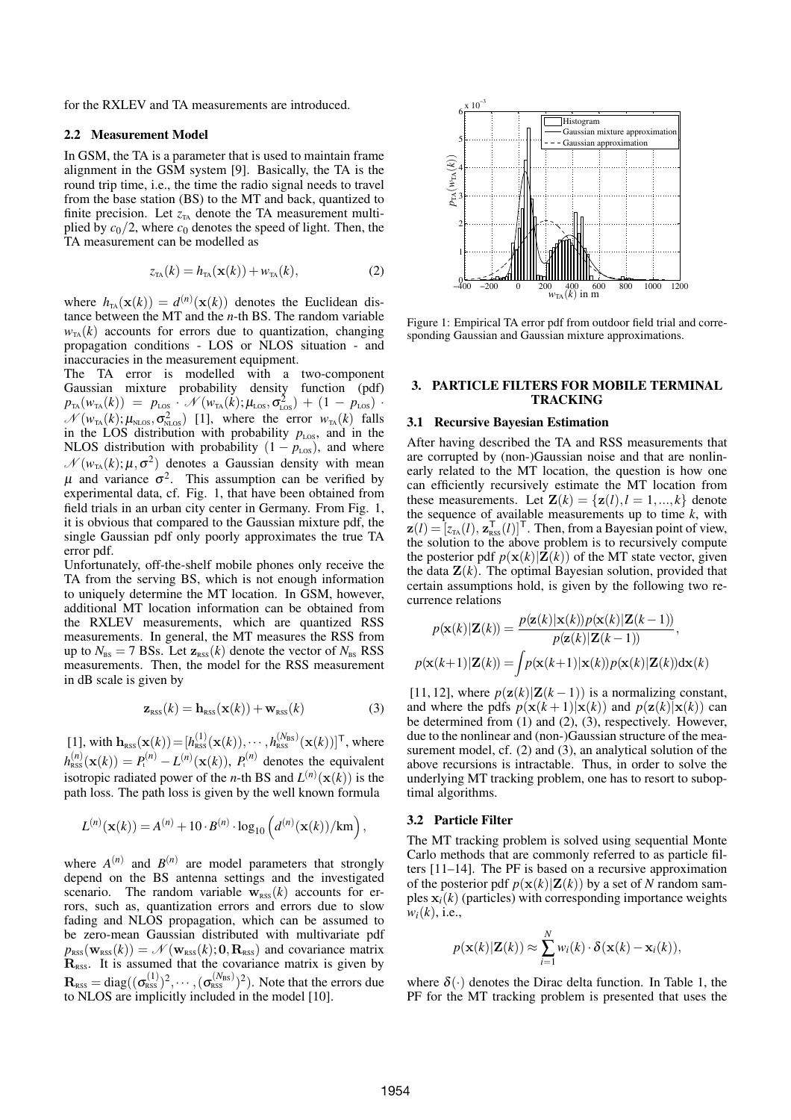for the RXLEV and TA measurements are introduced.

#### **2.2 Measurement Model**

In GSM, the TA is a parameter that is used to maintain frame alignment in the GSM system [9]. Basically, the TA is the round trip time, i.e., the time the radio signal needs to travel from the base station (BS) to the MT and back, quantized to finite precision. Let  $z_{TA}$  denote the TA measurement multiplied by  $c_0/2$ , where  $c_0$  denotes the speed of light. Then, the TA measurement can be modelled as

$$
z_{\text{TA}}(k) = h_{\text{TA}}(\mathbf{x}(k)) + w_{\text{TA}}(k), \tag{2}
$$

where  $h_{TA}(\mathbf{x}(k)) = d^{(n)}(\mathbf{x}(k))$  denotes the Euclidean distance between the MT and the *n*-th BS. The random variable  $w_{TA}(k)$  accounts for errors due to quantization, changing propagation conditions - LOS or NLOS situation - and inaccuracies in the measurement equipment.

The TA error is modelled with a two-component Gaussian mixture probability density function (pdf)  $p_{\text{\tiny{TA}}}(w_{\text{\tiny{TA}}}(k)) = p_{\text{\tiny{LOS}}} \cdot \mathcal{N}(w_{\text{\tiny{TA}}}(k); \mu_{\text{\tiny{LOS}}}, \sigma^2_{\text{\tiny{LOS}}}) + (1-p_{\text{\tiny{LOS}}}^2) \cdot$  $\mathcal{N}(w_{\text{TA}}(k); \mu_{\text{NLOS}}, \sigma_{\text{NLOS}}^2)$  [1], where the error  $w_{\text{TA}}(k)$  falls in the LOS distribution with probability  $p_{\text{LoS}}$ , and in the NLOS distribution with probability  $(1 - p_{\text{Los}})$ , and where  $\mathcal{N}(w_{TA}(k); \mu, \sigma^2)$  denotes a Gaussian density with mean  $\mu$  and variance  $\sigma^2$ . This assumption can be verified by experimental data, cf. Fig. 1, that have been obtained from field trials in an urban city center in Germany. From Fig. 1, it is obvious that compared to the Gaussian mixture pdf, the single Gaussian pdf only poorly approximates the true TA error pdf.

Unfortunately, off-the-shelf mobile phones only receive the TA from the serving BS, which is not enough information to uniquely determine the MT location. In GSM, however, additional MT location information can be obtained from the RXLEV measurements, which are quantized RSS measurements. In general, the MT measures the RSS from up to  $N_{BS} = 7$  BSs. Let  $z_{RSS}(k)$  denote the vector of  $N_{BS}$  RSS measurements. Then, the model for the RSS measurement in dB scale is given by

$$
\mathbf{z}_{\text{RSS}}(k) = \mathbf{h}_{\text{RSS}}(\mathbf{x}(k)) + \mathbf{w}_{\text{RSS}}(k)
$$
 (3)

[1], with  $\mathbf{h}_{\text{RSS}}(\mathbf{x}(k)) = [h_{\text{RSS}}^{(1)}(\mathbf{x}(k)), \cdots, h_{\text{RSS}}^{(N_{\text{BS}})}(\mathbf{x}(k))]^{\mathsf{T}}$ , where  $h_{\text{RSS}}^{(n)}(\mathbf{x}(k)) = P_{t}^{(n)} - L^{(n)}(\mathbf{x}(k))$ ,  $P_{t}^{(n)}$  denotes the equivalent isotropic radiated power of the *n*-th BS and  $L^{(n)}(\mathbf{x}(k))$  is the path loss. The path loss is given by the well known formula

$$
L^{(n)}(\mathbf{x}(k)) = A^{(n)} + 10 \cdot B^{(n)} \cdot \log_{10} (d^{(n)}(\mathbf{x}(k))/km),
$$

where  $A^{(n)}$  and  $B^{(n)}$  are model parameters that strongly depend on the BS antenna settings and the investigated scenario. The random variable  $w_{RSS}(k)$  accounts for errors, such as, quantization errors and errors due to slow fading and NLOS propagation, which can be assumed to be zero-mean Gaussian distributed with multivariate pdf  $p_{\text{RSS}}(\mathbf{w}_{\text{RSS}}(k)) = \mathcal{N}(\mathbf{w}_{\text{RSS}}(k); \mathbf{0}, \mathbf{R}_{\text{RSS}})$  and covariance matrix  $\mathbf{R}_{\text{RSS}}$ . It is assumed that the covariance matrix is given by  $\mathbf{R}_{\text{RSS}} = \text{diag}((\sigma_{\text{RSS}}^{(1)})^2, \cdots, (\sigma_{\text{RSS}}^{(N_{\text{BS}})})^2)$ . Note that the errors due to NLOS are implicitly included in the model [10].



Figure 1: Empirical TA error pdf from outdoor field trial and corresponding Gaussian and Gaussian mixture approximations.

## **3. PARTICLE FILTERS FOR MOBILE TERMINAL TRACKING**

### **3.1 Recursive Bayesian Estimation**

After having described the TA and RSS measurements that are corrupted by (non-)Gaussian noise and that are nonlinearly related to the MT location, the question is how one can efficiently recursively estimate the MT location from these measurements. Let  $\mathbf{Z}(k) = \{z(l), l = 1, ..., k\}$  denote the sequence of available measurements up to time *k*, with  $\mathbf{z}(l) = [z_{\text{TA}}(l), \mathbf{z}_{\text{RSS}}^{\mathsf{T}}(l)]^{\mathsf{T}}$ . Then, from a Bayesian point of view, the solution to the above problem is to recursively compute the posterior pdf  $p(x(k)|Z(k))$  of the MT state vector, given the data  $\mathbf{Z}(k)$ . The optimal Bayesian solution, provided that certain assumptions hold, is given by the following two recurrence relations

$$
p(\mathbf{x}(k)|\mathbf{Z}(k)) = \frac{p(\mathbf{z}(k)|\mathbf{x}(k))p(\mathbf{x}(k)|\mathbf{Z}(k-1))}{p(\mathbf{z}(k)|\mathbf{Z}(k-1))},
$$
  

$$
p(\mathbf{x}(k+1)|\mathbf{Z}(k)) = \int p(\mathbf{x}(k+1)|\mathbf{x}(k))p(\mathbf{x}(k)|\mathbf{Z}(k))d\mathbf{x}(k)
$$

[11, 12], where  $p(\mathbf{z}(k)|\mathbf{Z}(k-1))$  is a normalizing constant, and where the pdfs  $p(x(k+1)|x(k))$  and  $p(z(k)|x(k))$  can be determined from  $(1)$  and  $(2)$ ,  $(3)$ , respectively. However, due to the nonlinear and (non-)Gaussian structure of the measurement model, cf. (2) and (3), an analytical solution of the above recursions is intractable. Thus, in order to solve the underlying MT tracking problem, one has to resort to suboptimal algorithms.

### **3.2 Particle Filter**

The MT tracking problem is solved using sequential Monte Carlo methods that are commonly referred to as particle filters [11–14]. The PF is based on a recursive approximation of the posterior pdf  $p(x(k)|\mathbf{Z}(k))$  by a set of *N* random samples  $x_i(k)$  (particles) with corresponding importance weights  $w_i(k)$ , i.e.,

$$
p(\mathbf{x}(k)|\mathbf{Z}(k)) \approx \sum_{i=1}^{N} w_i(k) \cdot \delta(\mathbf{x}(k) - \mathbf{x}_i(k)),
$$

where  $\delta(\cdot)$  denotes the Dirac delta function. In Table 1, the PF for the MT tracking problem is presented that uses the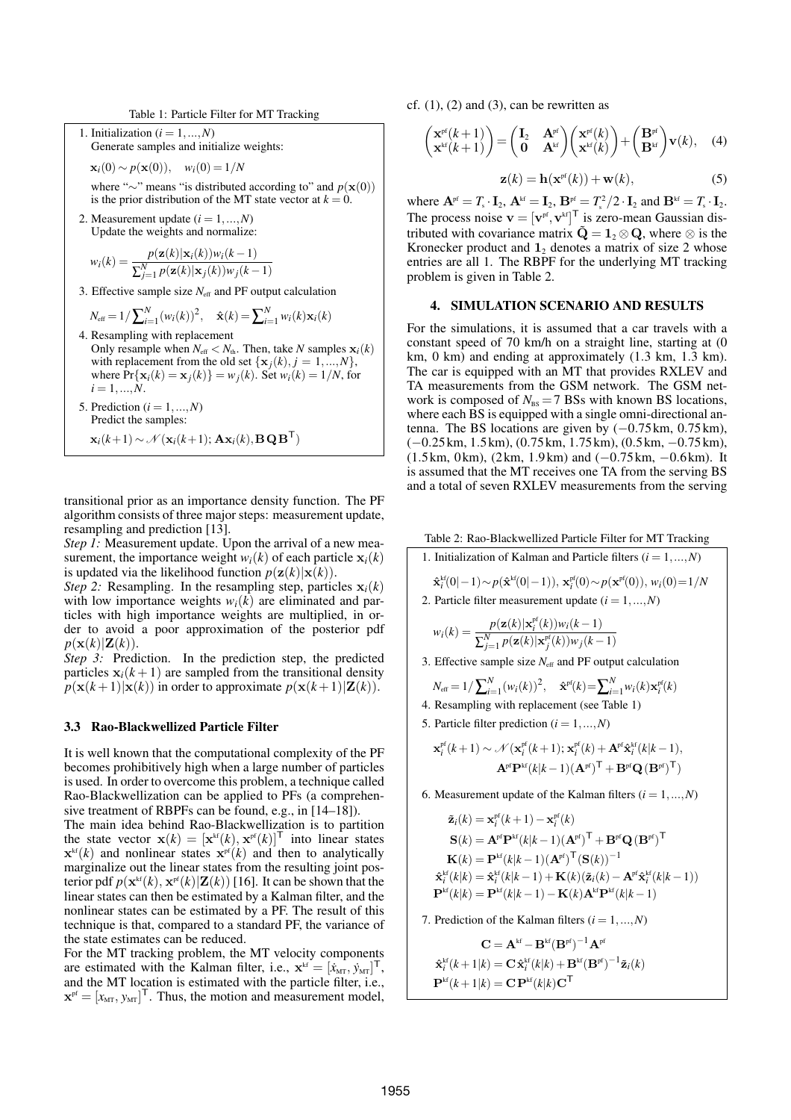Table 1: Particle Filter for MT Tracking

- 1. Initialization  $(i = 1, ..., N)$ Generate samples and initialize weights:
	- $\mathbf{x}_i(0) \sim p(\mathbf{x}(0)), \quad w_i(0) = 1/N$
	- where "∼" means "is distributed according to" and *p*(x(0)) is the prior distribution of the MT state vector at  $k = 0$ .
- 2. Measurement update  $(i = 1, ..., N)$ Update the weights and normalize:

$$
w_i(k) = \frac{p(\mathbf{z}(k)|\mathbf{x}_i(k))w_i(k-1)}{\sum_{j=1}^N p(\mathbf{z}(k)|\mathbf{x}_j(k))w_j(k-1)}
$$

3. Effective sample size  $N_{\text{eff}}$  and PF output calculation

$$
N_{\text{eff}} = 1 / \sum_{i=1}^{N} (w_i(k))^2, \quad \hat{\mathbf{x}}(k) = \sum_{i=1}^{N} w_i(k) \mathbf{x}_i(k)
$$

- 4. Resampling with replacement Only resample when  $N_{\text{eff}} < N_{\text{th}}$ . Then, take *N* samples  $\mathbf{x}_i(k)$ with replacement from the old set  $\{x_j(k), j = 1, ..., N\}$ , where  $Pr{\mathbf{x}_i(k) = \mathbf{x}_j(k)} = w_j(k)$ . Set  $w_i(k) = 1/N$ , for  $i = 1, ..., N$ .
- 5. Prediction ( $i = 1, \ldots, N$ ) Predict the samples:  $\mathbf{x}_i(k+1) \sim \mathcal{N}(\mathbf{x}_i(k+1); \mathbf{A}\mathbf{x}_i(k), \mathbf{B}\mathbf{Q}\mathbf{B}^{\mathsf{T}})$

transitional prior as an importance density function. The PF algorithm consists of three major steps: measurement update, resampling and prediction [13].

*Step 1:* Measurement update. Upon the arrival of a new measurement, the importance weight  $w_i(k)$  of each particle  $x_i(k)$ is updated via the likelihood function  $p(\mathbf{z}(k)|\mathbf{x}(k))$ .

*Step 2:* Resampling. In the resampling step, particles  $\mathbf{x}_i(k)$ with low importance weights  $w_i(k)$  are eliminated and particles with high importance weights are multiplied, in order to avoid a poor approximation of the posterior pdf  $p(\mathbf{x}(k)|\mathbf{Z}(k)).$ 

*Step 3:* Prediction. In the prediction step, the predicted particles  $x_i(k+1)$  are sampled from the transitional density  $p(x(k+1)|x(k))$  in order to approximate  $p(x(k+1)|Z(k))$ .

### **3.3 Rao-Blackwellized Particle Filter**

It is well known that the computational complexity of the PF becomes prohibitively high when a large number of particles is used. In order to overcome this problem, a technique called Rao-Blackwellization can be applied to PFs (a comprehensive treatment of RBPFs can be found, e.g., in [14–18]).

The main idea behind Rao-Blackwellization is to partition the state vector  $\mathbf{x}(k) = [\mathbf{x}^{kt}(k), \mathbf{x}^{pt}(k)]^{\mathsf{T}}$  into linear states  $\mathbf{x}^{\text{kf}}(k)$  and nonlinear states  $\mathbf{x}^{\text{pf}}(k)$  and then to analytically marginalize out the linear states from the resulting joint posterior pdf  $p(\mathbf{x}^{\text{kf}}(k), \mathbf{x}^{\text{pf}}(k)|\mathbf{Z}(k))$  [16]. It can be shown that the linear states can then be estimated by a Kalman filter, and the nonlinear states can be estimated by a PF. The result of this technique is that, compared to a standard PF, the variance of the state estimates can be reduced.

For the MT tracking problem, the MT velocity components are estimated with the Kalman filter, i.e.,  $\mathbf{x}^{kt} = [\dot{x}_{MT}, \dot{y}_{MT}]^T$ , and the MT location is estimated with the particle filter, i.e.,  $\mathbf{x}^{\text{pf}} = [x_{\text{MT}}, y_{\text{MT}}]^{\text{T}}$ . Thus, the motion and measurement model,

cf.  $(1)$ ,  $(2)$  and  $(3)$ , can be rewritten as

$$
\begin{pmatrix} \mathbf{x}^{pf}(k+1) \\ \mathbf{x}^{kf}(k+1) \end{pmatrix} = \begin{pmatrix} \mathbf{I}_2 & \mathbf{A}^{pf} \\ \mathbf{0} & \mathbf{A}^{kf} \end{pmatrix} \begin{pmatrix} \mathbf{x}^{pf}(k) \\ \mathbf{x}^{kf}(k) \end{pmatrix} + \begin{pmatrix} \mathbf{B}^{pf} \\ \mathbf{B}^{kf} \end{pmatrix} \mathbf{v}(k), \quad (4)
$$

$$
\mathbf{z}(k) = \mathbf{h}(\mathbf{x}^{\text{pf}}(k)) + \mathbf{w}(k),\tag{5}
$$

where  $\mathbf{A}^{\text{pf}} = T_s \cdot \mathbf{I}_2$ ,  $\mathbf{A}^{\text{kf}} = \mathbf{I}_2$ ,  $\mathbf{B}^{\text{pf}} = T_s^2/2 \cdot \mathbf{I}_2$  and  $\mathbf{B}^{\text{kf}} = T_s \cdot \mathbf{I}_2$ . The process noise  $\mathbf{v} = [\mathbf{v}^{\text{pf}}, \mathbf{v}^{\text{kf}}]^{\mathsf{T}}$  is zero-mean Gaussian distributed with covariance matrix  $\tilde{Q} = 1_2 \otimes Q$ , where  $\otimes$  is the Kronecker product and  $1<sub>2</sub>$  denotes a matrix of size 2 whose entries are all 1. The RBPF for the underlying MT tracking problem is given in Table 2.

#### **4. SIMULATION SCENARIO AND RESULTS**

For the simulations, it is assumed that a car travels with a constant speed of 70 km/h on a straight line, starting at (0 km, 0 km) and ending at approximately (1.3 km, 1.3 km). The car is equipped with an MT that provides RXLEV and TA measurements from the GSM network. The GSM network is composed of  $N_{\text{BS}} = 7$  BSs with known BS locations, where each BS is equipped with a single omni-directional antenna. The BS locations are given by  $(-0.75 \text{ km}, 0.75 \text{ km})$ , (−0.25 km, 1.5 km), (0.75 km, 1.75 km), (0.5 km, −0.75 km), (1.5 km, 0 km),  $(2 \text{ km}, 1.9 \text{ km})$  and  $(-0.75 \text{ km}, -0.6 \text{ km})$ . It is assumed that the MT receives one TA from the serving BS and a total of seven RXLEV measurements from the serving

Table 2: Rao-Blackwellized Particle Filter for MT Tracking

- 1. Initialization of Kalman and Particle filters (*i* = 1,...,*N*)
- $\hat{\mathbf{x}}_i^{\text{kf}}(0| 1) \sim p(\hat{\mathbf{x}}^{\text{kf}}(0| 1)), \mathbf{x}_i^{\text{pf}}(0) \sim p(\mathbf{x}^{\text{pf}}(0)), w_i(0) = 1/N$
- 2. Particle filter measurement update  $(i = 1, ..., N)$

$$
w_i(k) = \frac{p(\mathbf{z}(k)|\mathbf{x}_i^{p^e}(k))w_i(k-1)}{\sum_{j=1}^N p(\mathbf{z}(k)|\mathbf{x}_j^{p^e}(k))w_j(k-1)}
$$

3. Effective sample size  $N_{\text{eff}}$  and PF output calculation

$$
N_{\text{eff}} = 1 / \sum_{i=1}^{N} (w_i(k))^2, \quad \hat{\mathbf{x}}^{\text{pf}}(k) = \sum_{i=1}^{N} w_i(k) \mathbf{x}_i^{\text{pf}}(k)
$$

- 4. Resampling with replacement (see Table 1)
- 5. Particle filter prediction  $(i = 1,...,N)$

$$
\begin{aligned} \mathbf{x}_i^{\text{pf}}(k+1) &\sim \mathcal{N}(\mathbf{x}_i^{\text{pf}}(k+1); \mathbf{x}_i^{\text{pf}}(k) + \mathbf{A}^{\text{pf}} \hat{\mathbf{x}}_i^{\text{kf}}(k|k-1), \\ \mathbf{A}^{\text{pf}} \mathbf{P}^{\text{kf}}(k|k-1) (\mathbf{A}^{\text{pf}})^{\mathsf{T}} + \mathbf{B}^{\text{pf}} \mathbf{Q}(\mathbf{B}^{\text{pf}})^{\mathsf{T}}) \end{aligned}
$$

6. Measurement update of the Kalman filters  $(i = 1, ..., N)$ 

$$
\tilde{\mathbf{z}}_i(k) = \mathbf{x}_i^{\text{pf}}(k+1) - \mathbf{x}_i^{\text{pf}}(k)
$$
\n
$$
\mathbf{S}(k) = \mathbf{A}^{\text{pf}} \mathbf{P}^{\text{kf}}(k|k-1) (\mathbf{A}^{\text{pf}})^{\text{T}} + \mathbf{B}^{\text{pf}} \mathbf{Q} (\mathbf{B}^{\text{pf}})^{\text{T}}
$$
\n
$$
\mathbf{K}(k) = \mathbf{P}^{\text{kf}}(k|k-1) (\mathbf{A}^{\text{pf}})^{\text{T}} (\mathbf{S}(k))^{-1}
$$
\n
$$
\hat{\mathbf{x}}_i^{\text{kf}}(k|k) = \hat{\mathbf{x}}_i^{\text{kf}}(k|k-1) + \mathbf{K}(k) (\tilde{\mathbf{z}}_i(k) - \mathbf{A}^{\text{pf}} \hat{\mathbf{x}}_i^{\text{kf}}(k|k-1))
$$
\n
$$
\mathbf{P}^{\text{kf}}(k|k) = \mathbf{P}^{\text{kf}}(k|k-1) - \mathbf{K}(k) \mathbf{A}^{\text{kf}} \mathbf{P}^{\text{kf}}(k|k-1)
$$

7. Prediction of the Kalman filters  $(i = 1, ..., N)$ 

 $\mathbf{C} = \mathbf{A}^{kf} - \mathbf{B}^{kf}(\mathbf{B}^{pf})^{-1}\mathbf{A}^{pf}$  $\hat{\mathbf{x}}_i^{\text{kf}}(k+1|k) = \mathbf{C} \hat{\mathbf{x}}_i^{\text{kf}}(k|k) + \mathbf{B}^{\text{kf}}(\mathbf{B}^{\text{pf}})^{-1} \tilde{\mathbf{z}}_i(k)$  $\mathbf{P}^{\text{kf}}(k+1|k) = \mathbf{C} \mathbf{P}^{\text{kf}}(k|k) \mathbf{C}^{\mathsf{T}}$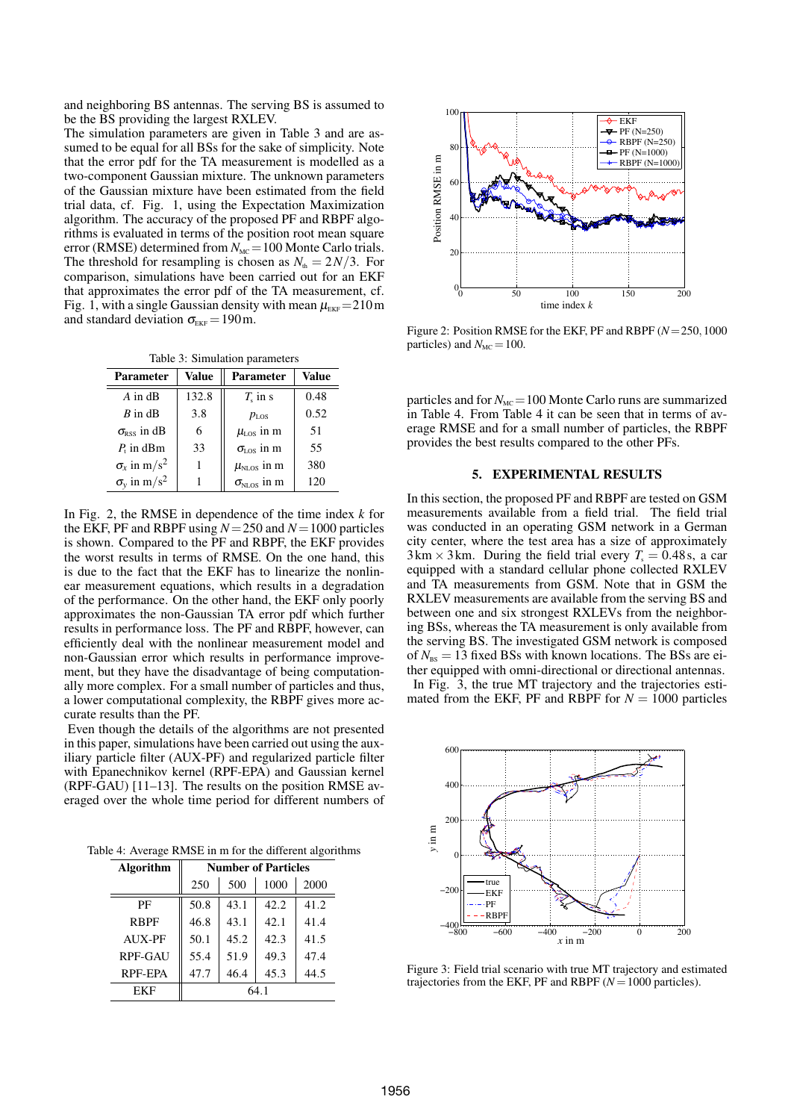and neighboring BS antennas. The serving BS is assumed to be the BS providing the largest RXLEV.

The simulation parameters are given in Table 3 and are assumed to be equal for all BSs for the sake of simplicity. Note that the error pdf for the TA measurement is modelled as a two-component Gaussian mixture. The unknown parameters of the Gaussian mixture have been estimated from the field trial data, cf. Fig. 1, using the Expectation Maximization algorithm. The accuracy of the proposed PF and RBPF algorithms is evaluated in terms of the position root mean square error (RMSE) determined from  $N_{MC}=100$  Monte Carlo trials. The threshold for resampling is chosen as  $N_{th} = 2N/3$ . For comparison, simulations have been carried out for an EKF that approximates the error pdf of the TA measurement, cf. Fig. 1, with a single Gaussian density with mean  $\mu_{\text{EKF}} = 210 \text{m}$ and standard deviation  $\sigma_{\text{EKF}} = 190 \,\text{m}$ .

Table 3: Simulation parameters

| <b>Parameter</b>               | Value | <b>Parameter</b>                  | Value |
|--------------------------------|-------|-----------------------------------|-------|
| $A$ in dB                      | 132.8 | $Ts$ in s                         | 0.48  |
| $B$ in dB                      | 3.8   | $p_{\text{LOS}}$                  | 0.52  |
| $\sigma_{\rm RSS}$ in dB       | 6     | $\mu_{\text{\tiny{LOS}}}$ in m    | 51    |
| $P_{\rm t}$ in dBm             | 33    | $\sigma_{\text{\tiny{LOS}}}$ in m | 55    |
| $\sigma_x$ in m/s <sup>2</sup> |       | $\mu_{NLOS}$ in m                 | 380   |
| $\sigma_y$ in m/s <sup>2</sup> |       | $\sigma_{NLOS}$ in m              | 120   |

In Fig. 2, the RMSE in dependence of the time index *k* for the EKF, PF and RBPF using  $N = 250$  and  $N = 1000$  particles is shown. Compared to the PF and RBPF, the EKF provides the worst results in terms of RMSE. On the one hand, this is due to the fact that the EKF has to linearize the nonlinear measurement equations, which results in a degradation of the performance. On the other hand, the EKF only poorly approximates the non-Gaussian TA error pdf which further results in performance loss. The PF and RBPF, however, can efficiently deal with the nonlinear measurement model and non-Gaussian error which results in performance improvement, but they have the disadvantage of being computationally more complex. For a small number of particles and thus, a lower computational complexity, the RBPF gives more accurate results than the PF.

Even though the details of the algorithms are not presented in this paper, simulations have been carried out using the auxiliary particle filter (AUX-PF) and regularized particle filter with Epanechnikov kernel (RPF-EPA) and Gaussian kernel (RPF-GAU) [11–13]. The results on the position RMSE averaged over the whole time period for different numbers of

Table 4: Average RMSE in m for the different algorithms

| <b>Algorithm</b> | <b>Number of Particles</b> |      |       |      |  |
|------------------|----------------------------|------|-------|------|--|
|                  | 250                        | 500  | 1000  | 2000 |  |
| РF               | 50.8                       | 43.1 | 42.2. | 41.2 |  |
| <b>RBPF</b>      | 46.8                       | 43.1 | 42.1  | 41.4 |  |
| AUX-PF           | 50.1                       | 45.2 | 42.3  | 41.5 |  |
| RPF-GAU          | 55.4                       | 51.9 | 49.3  | 47.4 |  |
| RPF-EPA          | 47.7                       | 46.4 | 45.3  | 44.5 |  |
| EKF              | 64.1                       |      |       |      |  |



Figure 2: Position RMSE for the EKF, PF and RBPF (*N*=250,1000 particles) and  $N_{MC} = 100$ .

particles and for  $N_{MC}$  = 100 Monte Carlo runs are summarized in Table 4. From Table 4 it can be seen that in terms of average RMSE and for a small number of particles, the RBPF provides the best results compared to the other PFs.

# **5. EXPERIMENTAL RESULTS**

In this section, the proposed PF and RBPF are tested on GSM measurements available from a field trial. The field trial was conducted in an operating GSM network in a German city center, where the test area has a size of approximately  $3 \text{ km} \times 3 \text{ km}$ . During the field trial every  $T_s = 0.48 \text{ s}$ , a car equipped with a standard cellular phone collected RXLEV and TA measurements from GSM. Note that in GSM the RXLEV measurements are available from the serving BS and between one and six strongest RXLEVs from the neighboring BSs, whereas the TA measurement is only available from the serving BS. The investigated GSM network is composed of  $N_{BS} = 13$  fixed BSs with known locations. The BSs are either equipped with omni-directional or directional antennas.

In Fig. 3, the true MT trajectory and the trajectories estimated from the EKF, PF and RBPF for  $N = 1000$  particles



Figure 3: Field trial scenario with true MT trajectory and estimated trajectories from the EKF, PF and RBPF  $(N = 1000$  particles).